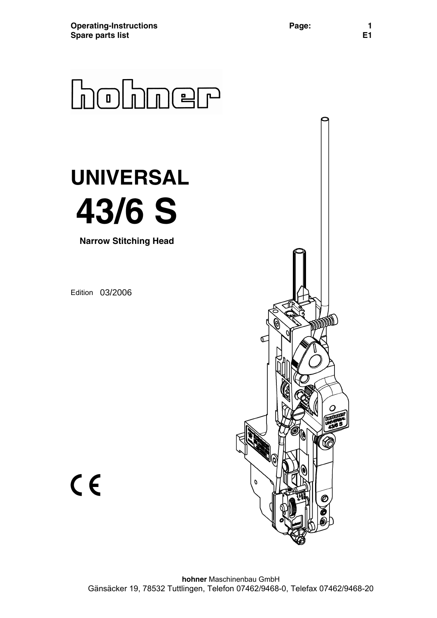

# **UNIVERSAL 43/6 S**

**Narrow Stitching Head** 

Edition 03/2006



 $C \in$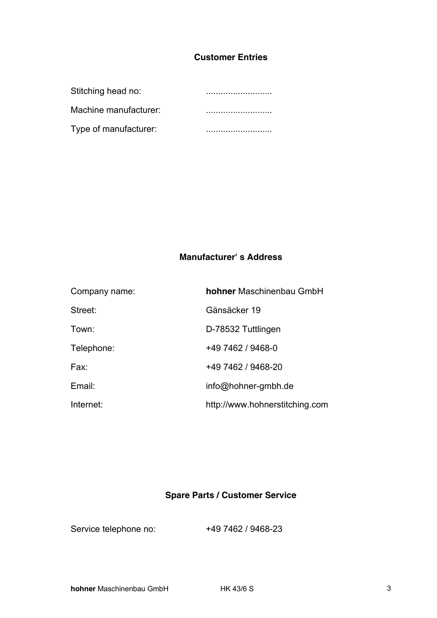## **Customer Entries**

| Stitching head no:    |  |
|-----------------------|--|
| Machine manufacturer: |  |
| Type of manufacturer: |  |

# **Manufacturer' s Address**

| Company name: | <b>hohner</b> Maschinenbau GmbH |
|---------------|---------------------------------|
| Street:       | Gänsäcker 19                    |
| Town:         | D-78532 Tuttlingen              |
| Telephone:    | +49 7462 / 9468-0               |
| Fax:          | +49 7462 / 9468-20              |
| Email:        | info@hohner-gmbh.de             |
| Internet:     | http://www.hohnerstitching.com  |

# **Spare Parts / Customer Service**

Service telephone no: +49 7462 / 9468-23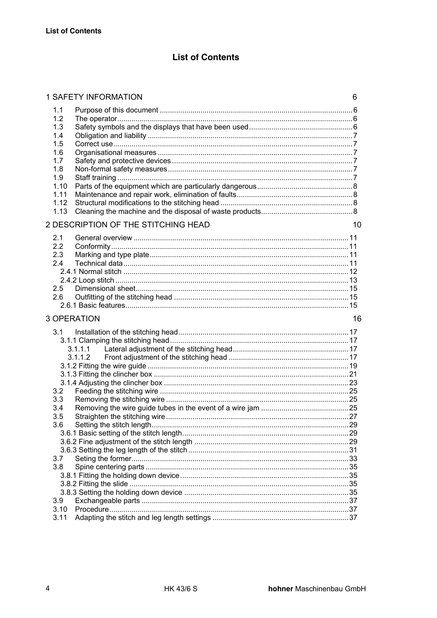# **List of Contents**

|                                                                                             | 6  |
|---------------------------------------------------------------------------------------------|----|
| 1.1<br>1.2<br>1.3<br>1.4<br>1.5<br>1.6<br>1.7<br>1.8<br>1.9<br>1.10<br>1.11<br>1.12<br>1.13 |    |
| 2 DESCRIPTION OF THE STITCHING HEAD                                                         | 10 |
| 2.1<br>2.2<br>2.3<br>2.4<br>$2.5^{\circ}$<br>2.6                                            |    |
| 3 OPERATION                                                                                 | 16 |
|                                                                                             |    |
| 3.1<br>3.1.1.1<br>3.1.1.2<br>3.2<br>3.3<br>3.4<br>3.5<br>3.6                                |    |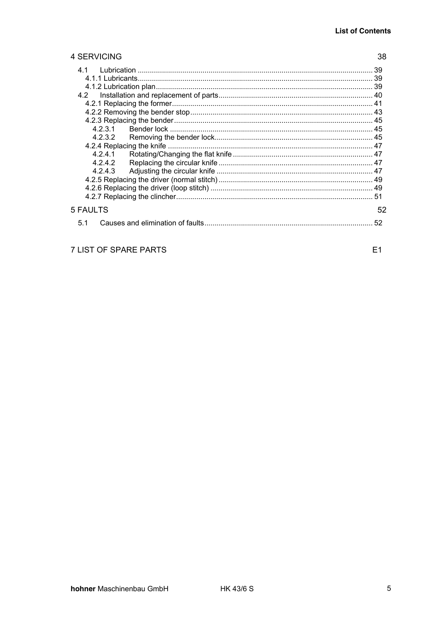38

#### 4 SERVICING

| 39       |    |
|----------|----|
|          |    |
|          |    |
|          |    |
| 4.2      |    |
|          |    |
|          |    |
|          |    |
| 4.2.3.1  |    |
| 4.2.3.2  |    |
|          |    |
| 4.2.4.1  |    |
| 4.2.4.2  |    |
| 4.2.4.3  |    |
|          |    |
|          |    |
|          |    |
| 5 FAULTS | 52 |
| 51       |    |

# 7 LIST OF SPARE PARTS

 $E1$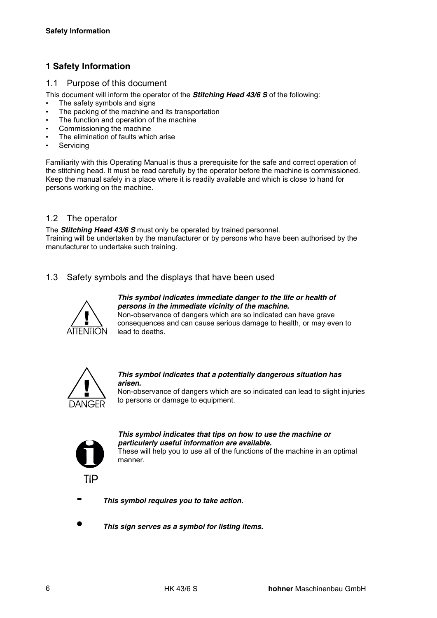# **1 Safety Information**

#### 1.1 Purpose of this document

This document will inform the operator of the *Stitching Head 43/6 S* of the following:

- The safety symbols and signs
- The packing of the machine and its transportation
- The function and operation of the machine
- Commissioning the machine
- The elimination of faults which arise
- **Servicing**

Familiarity with this Operating Manual is thus a prerequisite for the safe and correct operation of the stitching head. It must be read carefully by the operator before the machine is commissioned. Keep the manual safely in a place where it is readily available and which is close to hand for persons working on the machine.

#### 1.2 The operator

The *Stitching Head 43/6 S* must only be operated by trained personnel. Training will be undertaken by the manufacturer or by persons who have been authorised by the manufacturer to undertake such training.

1.3 Safety symbols and the displays that have been used



*This symbol indicates immediate danger to the life or health of persons in the immediate vicinity of the machine.*  Non-observance of dangers which are so indicated can have grave

consequences and can cause serious damage to health, or may even to lead to deaths.



#### *This symbol indicates that a potentially dangerous situation has arisen.*

Non-observance of dangers which are so indicated can lead to slight injuries to persons or damage to equipment.



*This symbol indicates that tips on how to use the machine or particularly useful information are available.*  These will help you to use all of the functions of the machine in an optimal



**-** *This symbol requires you to take action.*

manner.

**•** *This sign serves as a symbol for listing items.*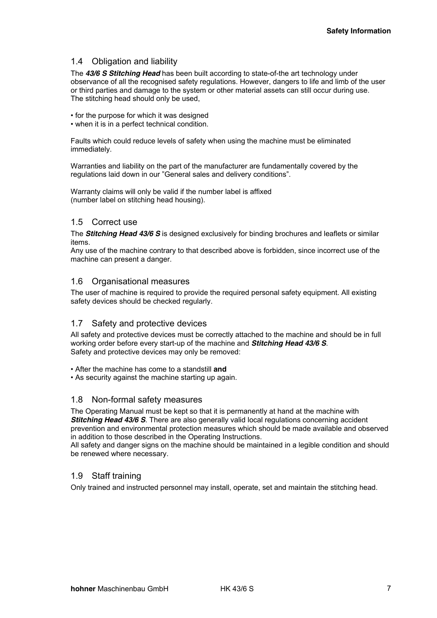#### 1.4 Obligation and liability

The *43/6 S Stitching Head* has been built according to state-of-the art technology under observance of all the recognised safety regulations. However, dangers to life and limb of the user or third parties and damage to the system or other material assets can still occur during use. The stitching head should only be used,

- for the purpose for which it was designed
- when it is in a perfect technical condition.

Faults which could reduce levels of safety when using the machine must be eliminated immediately.

Warranties and liability on the part of the manufacturer are fundamentally covered by the regulations laid down in our "General sales and delivery conditions".

Warranty claims will only be valid if the number label is affixed (number label on stitching head housing).

#### 1.5 Correct use

The *Stitching Head 43/6 S* is designed exclusively for binding brochures and leaflets or similar items.

Any use of the machine contrary to that described above is forbidden, since incorrect use of the machine can present a danger.

#### 1.6 Organisational measures

The user of machine is required to provide the required personal safety equipment. All existing safety devices should be checked regularly.

#### 1.7 Safety and protective devices

All safety and protective devices must be correctly attached to the machine and should be in full working order before every start-up of the machine and *Stitching Head 43/6 S*. Safety and protective devices may only be removed:

• After the machine has come to a standstill **and**

• As security against the machine starting up again.

#### 1.8 Non-formal safety measures

The Operating Manual must be kept so that it is permanently at hand at the machine with *Stitching Head 43/6 S*. There are also generally valid local regulations concerning accident prevention and environmental protection measures which should be made available and observed in addition to those described in the Operating Instructions.

All safety and danger signs on the machine should be maintained in a legible condition and should be renewed where necessary.

#### 1.9 Staff training

Only trained and instructed personnel may install, operate, set and maintain the stitching head.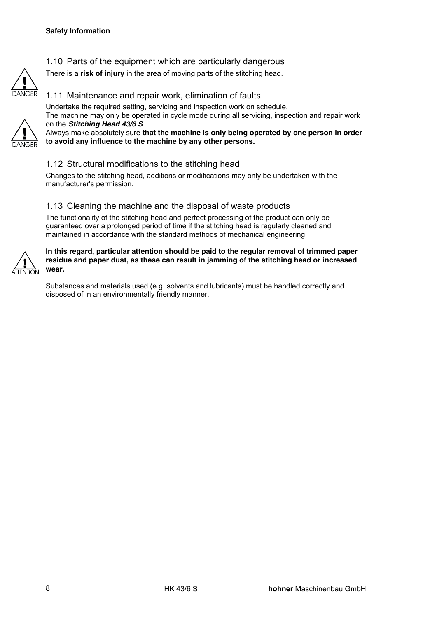

#### 1.10 Parts of the equipment which are particularly dangerous

There is a **risk of injury** in the area of moving parts of the stitching head.



#### 1.11 Maintenance and repair work, elimination of faults

Undertake the required setting, servicing and inspection work on schedule. The machine may only be operated in cycle mode during all servicing, inspection and repair work on the *Stitching Head 43/6 S*.

Always make absolutely sure **that the machine is only being operated by one person in order to avoid any influence to the machine by any other persons.** 

#### 1.12 Structural modifications to the stitching head

Changes to the stitching head, additions or modifications may only be undertaken with the manufacturer's permission.

#### 1.13 Cleaning the machine and the disposal of waste products

The functionality of the stitching head and perfect processing of the product can only be guaranteed over a prolonged period of time if the stitching head is regularly cleaned and maintained in accordance with the standard methods of mechanical engineering.



#### **In this regard, particular attention should be paid to the regular removal of trimmed paper residue and paper dust, as these can result in jamming of the stitching head or increased wear.**

Substances and materials used (e.g. solvents and lubricants) must be handled correctly and disposed of in an environmentally friendly manner.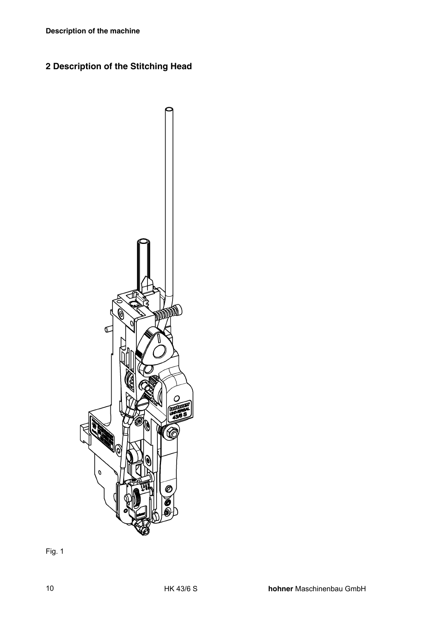# **2 Description of the Stitching Head**



Fig. 1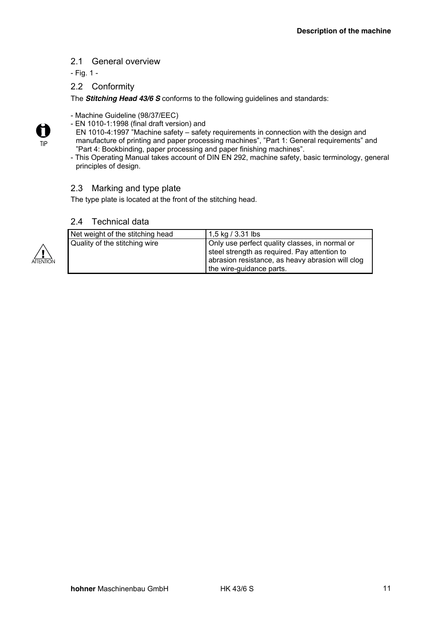#### 2.1 General overview

- Fig. 1 -

#### 2.2 Conformity

The *Stitching Head 43/6 S* conforms to the following guidelines and standards:

- Machine Guideline (98/37/EEC)
- EN 1010-1:1998 (final draft version) and
- EN 1010-4:1997 "Machine safety safety requirements in connection with the design and manufacture of printing and paper processing machines", "Part 1: General requirements" and "Part 4: Bookbinding, paper processing and paper finishing machines".
- This Operating Manual takes account of DIN EN 292, machine safety, basic terminology, general principles of design.

#### 2.3 Marking and type plate

The type plate is located at the front of the stitching head.

#### 2.4 Technical data



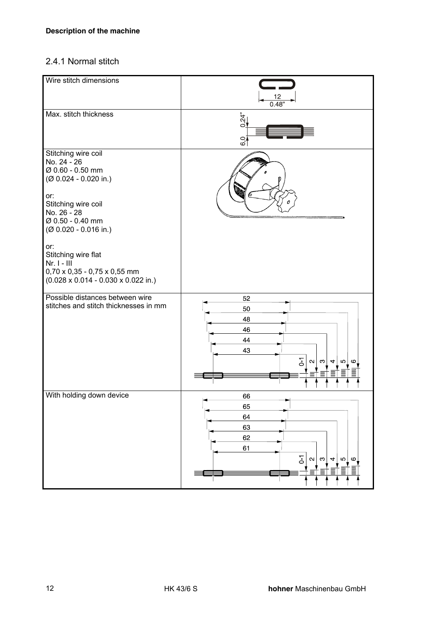# 2.4.1 Normal stitch

| Wire stitch dimensions                                                                                                                                                                                                                                                                                                    | $\frac{12}{0.48}$                                                                                      |
|---------------------------------------------------------------------------------------------------------------------------------------------------------------------------------------------------------------------------------------------------------------------------------------------------------------------------|--------------------------------------------------------------------------------------------------------|
| Max. stitch thickness                                                                                                                                                                                                                                                                                                     | 0.24"<br>6 <sub>0</sub>                                                                                |
| Stitching wire coil<br>No. 24 - 26<br>Ø 0.60 - 0.50 mm<br>(Ø 0.024 - 0.020 in.)<br>or:<br>Stitching wire coil<br>No. 26 - 28<br>Ø 0.50 - 0.40 mm<br>$(Ø 0.020 - 0.016 in.)$<br>or:<br>Stitching wire flat<br>$Nr. I - III$<br>$0,70 \times 0,35 - 0,75 \times 0,55$ mm<br>$(0.028 \times 0.014 - 0.030 \times 0.022$ in.) | a,                                                                                                     |
| Possible distances between wire<br>stitches and stitch thicknesses in mm                                                                                                                                                                                                                                                  | 52<br>50<br>48<br>46<br>44<br>43<br>$\overline{0}$<br>$\mathbf{N}$<br>က<br>S<br>4<br>ဖ                 |
| With holding down device                                                                                                                                                                                                                                                                                                  | 66<br>65<br>64<br>63<br>62<br>61<br>$\overline{0}$<br>$\sim$<br>$\Omega$<br>ო<br>4<br>G<br>言<br>≣<br>≡ |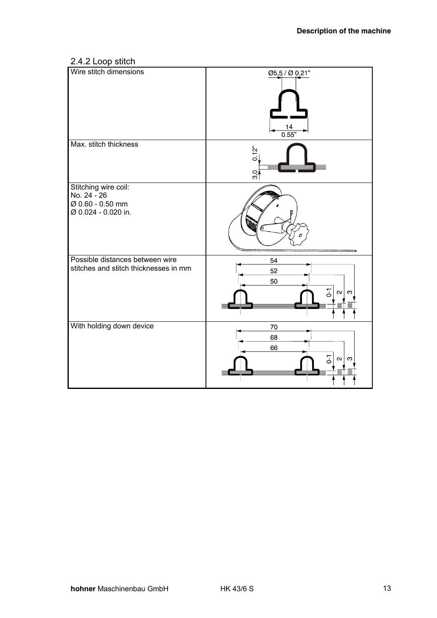# 2.4.2 Loop stitch

| Wire stitch dimensions                                                         | 05,5 / 0 0 21"<br>$\frac{14}{0.55}$             |
|--------------------------------------------------------------------------------|-------------------------------------------------|
| Max. stitch thickness                                                          | 0.12"<br>30                                     |
| Stitching wire coil:<br>No. 24 - 26<br>Ø 0.60 - 0.50 mm<br>Ø 0.024 - 0.020 in. | h,                                              |
| Possible distances between wire<br>stitches and stitch thicknesses in mm       | 54<br>52<br>50<br>$\overline{5}$<br>$\sim$<br>S |
| With holding down device                                                       | 70<br>68<br>66<br>$\overline{5}$<br>$\sim$<br>က |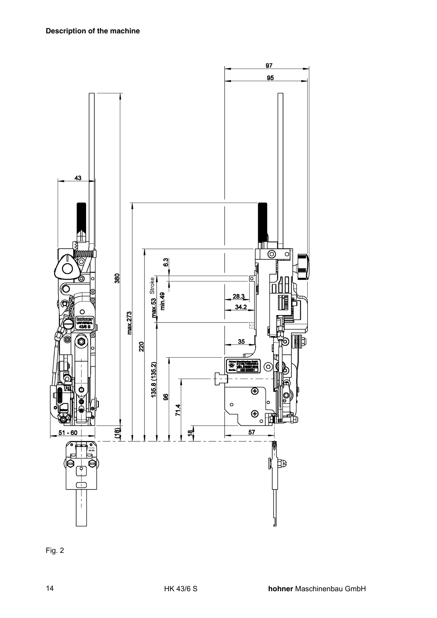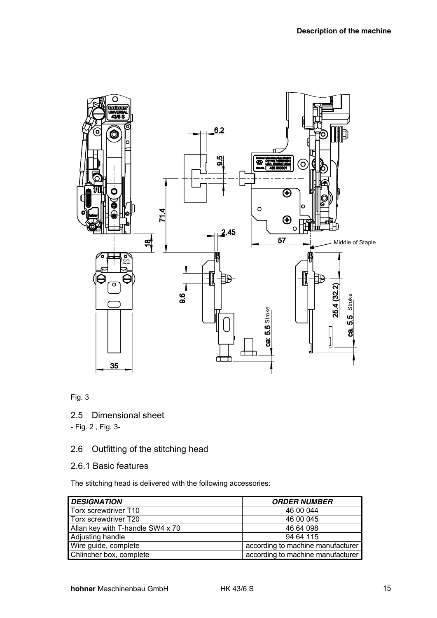

Fig. 3

2.5 Dimensional sheet

- Fig. 2 , Fig. 3-

# 2.6 Outfitting of the stitching head

#### 2.6.1 Basic features

The stitching head is delivered with the following accessories:

| <b>DESIGNATION</b>               | <b>ORDER NUMBER</b>               |
|----------------------------------|-----------------------------------|
| Torx screwdriver T10             | 46 00 044                         |
| Torx screwdriver T20             | 46 00 045                         |
| Allan key with T-handle SW4 x 70 | 46 64 098                         |
| Adjusting handle                 | 94 64 115                         |
| Wire guide, complete             | according to machine manufacturer |
| Chlincher box, complete          | according to machine manufacturer |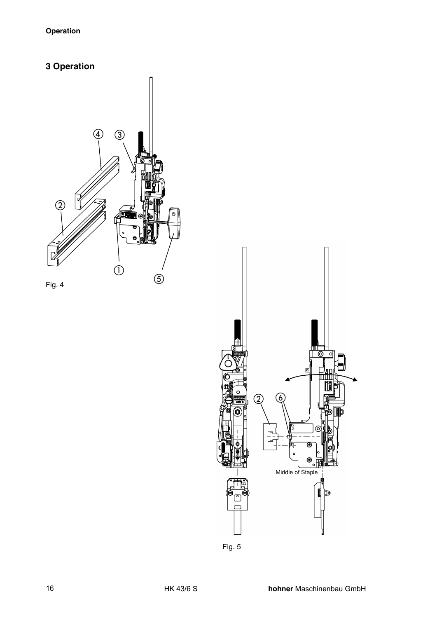# **3 Operation**







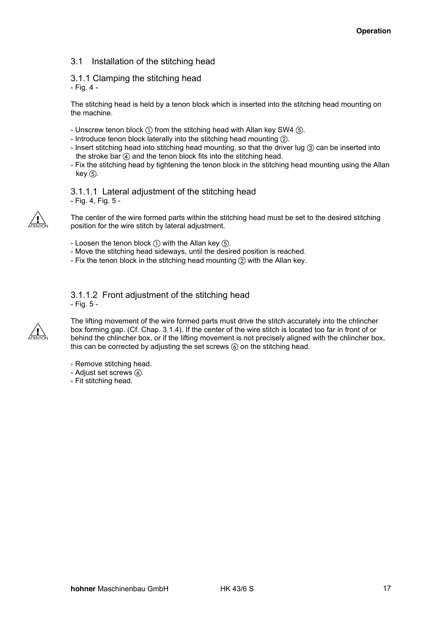#### 3.1 Installation of the stitching head

#### 3.1.1 Clamping the stitching head - Fig. 4 -

The stitching head is held by a tenon block which is inserted into the stitching head mounting on the machine.

- Unscrew tenon block  $\textcircled{\tiny{1}}$  from the stitching head with Allan key SW4  $\textcircled{\tiny{5}}$ .
- Introduce tenon block laterally into the stitching head mounting 2.
- Insert stitching head into stitching head mounting, so that the driver lug 3 can be inserted into the stroke bar  $\left(\frac{1}{2}\right)$  and the tenon block fits into the stitching head.
- Fix the stitching head by tightening the tenon block in the stitching head mounting using the Allan  $key(5)$ .

#### 3.1.1.1 Lateral adjustment of the stitching head - Fig. 4, Fig. 5 -



The center of the wire formed parts within the stitching head must be set to the desired stitching position for the wire stitch by lateral adjustment.

- Loosen the tenon block  $(i)$  with the Allan key  $(j)$ .
- Move the stitching head sideways, until the desired position is reached.
- Fix the tenon block in the stitching head mounting  $(2)$  with the Allan key.

#### 3.1.1.2 Front adjustment of the stitching head - Fig. 5 -



The lifting movement of the wire formed parts must drive the stitch accurately into the chlincher box forming gap. (Cf. Chap. 3.1.4). If the center of the wire stitch is located too far in front of or behind the chlincher box, or if the lifting movement is not precisely aligned with the chlincher box, this can be corrected by adjusting the set screws  $(6)$  on the stitching head.

- Remove stitching head.
- Adjust set screws  $\mathcal{C}$ ).
- Fit stitching head.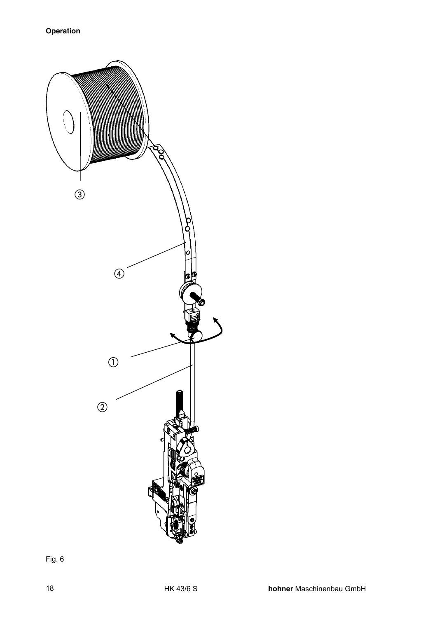

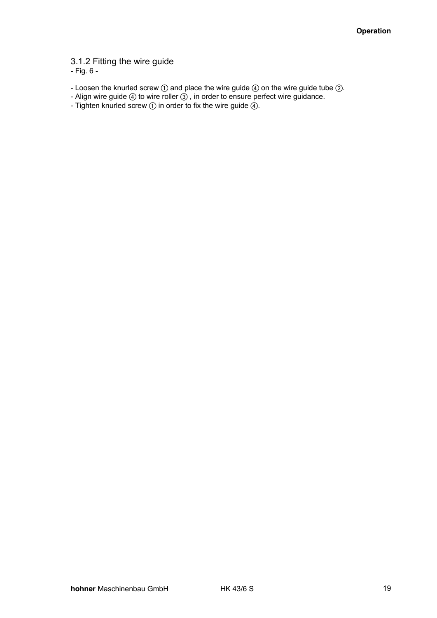3.1.2 Fitting the wire guide

- Fig. 6 -

- Loosen the knurled screw  $\bigcirc$  and place the wire guide  $\bigcirc$  on the wire guide tube  $\bigcirc$ .
- Align wire guide  $4$ ) to wire roller  $3$ , in order to ensure perfect wire guidance.
- Tighten knurled screw  $\textcircled{\scriptsize{1}}$  in order to fix the wire guide  $\textcircled{\scriptsize{4}}$ .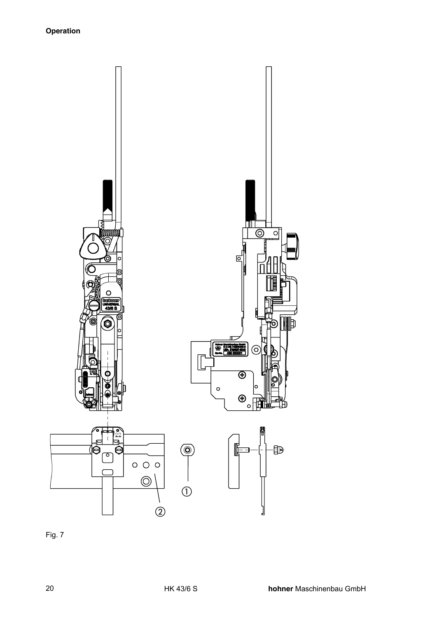

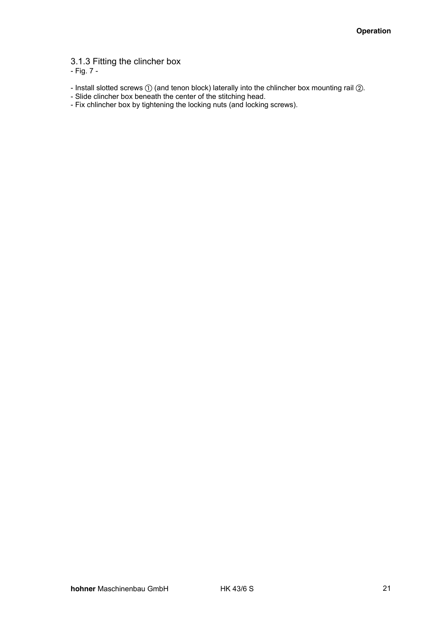3.1.3 Fitting the clincher box

- Fig. 7 -

- Install slotted screws  $\textcircled{\scriptsize{1}}$  (and tenon block) laterally into the chlincher box mounting rail  $\textcircled{\scriptsize{2}}$ .
- Slide clincher box beneath the center of the stitching head.
- Fix chlincher box by tightening the locking nuts (and locking screws).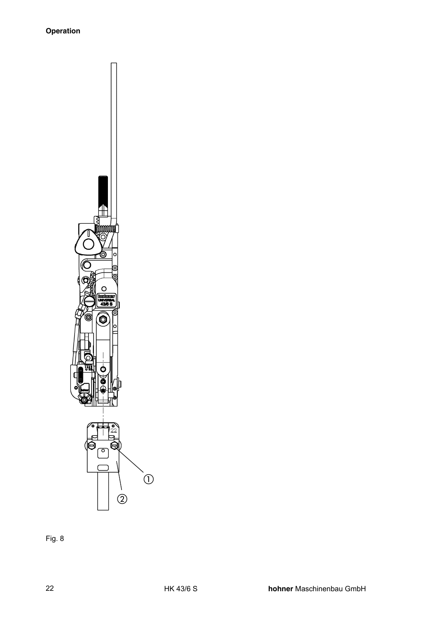

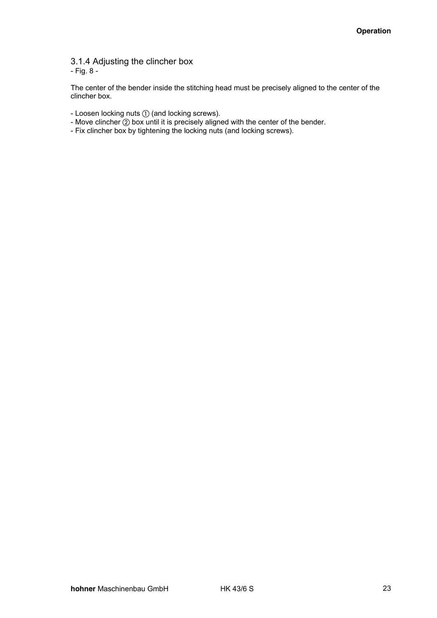3.1.4 Adjusting the clincher box - Fig. 8 -

The center of the bender inside the stitching head must be precisely aligned to the center of the clincher box.

- Loosen locking nuts  $\textcircled{\scriptsize{1}}$  (and locking screws).
- Move clincher  $\odot$  box until it is precisely aligned with the center of the bender.
- Fix clincher box by tightening the locking nuts (and locking screws).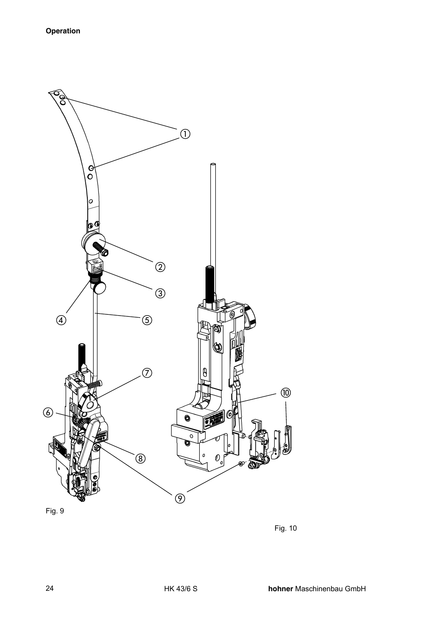

Fig. 9

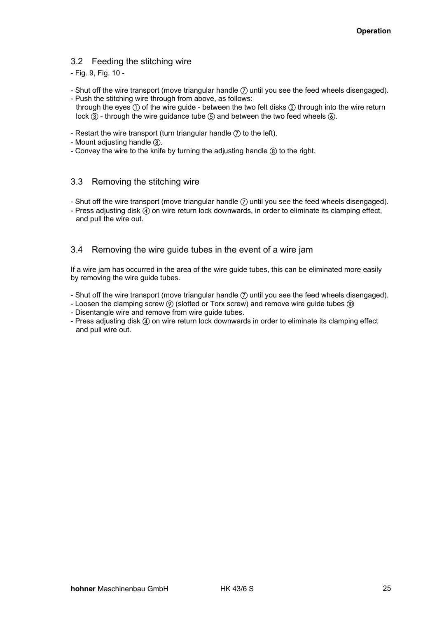#### 3.2 Feeding the stitching wire

- Fig. 9, Fig. 10 -

- Shut off the wire transport (move triangular handle  $(7)$  until you see the feed wheels disengaged). - Push the stitching wire through from above, as follows:
- through the eyes  $\textcircled{\tiny{1}}$  of the wire guide between the two felt disks  $\textcircled{\tiny{2}}$  through into the wire return lock  $\overline{3}$  - through the wire guidance tube  $\overline{6}$  and between the two feed wheels  $\overline{6}$ .
- Restart the wire transport (turn triangular handle  $(7)$  to the left).
- Mount adiusting handle  $\Omega$ .
- Convey the wire to the knife by turning the adjusting handle  $(8)$  to the right.

#### 3.3 Removing the stitching wire

- Shut off the wire transport (move triangular handle  $(7)$  until you see the feed wheels disengaged).
- Press adjusting disk (4) on wire return lock downwards, in order to eliminate its clamping effect, and pull the wire out.

#### 3.4 Removing the wire guide tubes in the event of a wire jam

If a wire jam has occurred in the area of the wire guide tubes, this can be eliminated more easily by removing the wire guide tubes.

- Shut off the wire transport (move triangular handle  $(7)$  until you see the feed wheels disengaged).
- Loosen the clamping screw  $\circledcirc$  (slotted or Torx screw) and remove wire guide tubes  $\circledcirc$
- Disentangle wire and remove from wire guide tubes.
- Press adjusting disk (4) on wire return lock downwards in order to eliminate its clamping effect and pull wire out.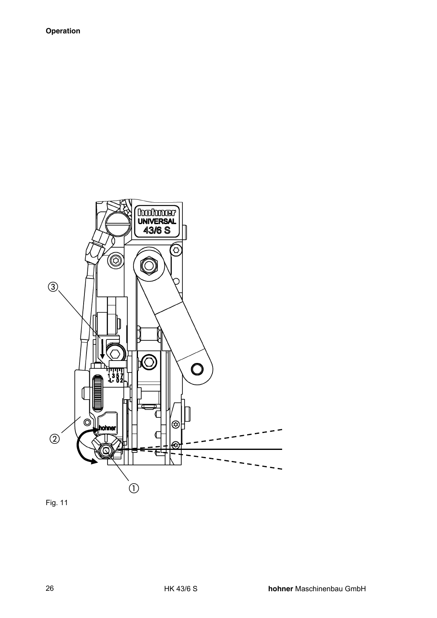

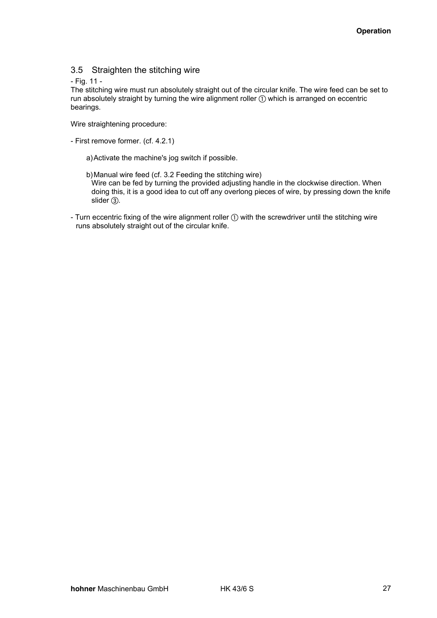#### 3.5 Straighten the stitching wire

#### - Fig. 11 -

The stitching wire must run absolutely straight out of the circular knife. The wire feed can be set to run absolutely straight by turning the wire alignment roller  $\mathbb O$  which is arranged on eccentric bearings.

Wire straightening procedure:

- First remove former. (cf. 4.2.1)
	- a) Activate the machine's jog switch if possible.
	- b) Manual wire feed (cf. 3.2 Feeding the stitching wire) Wire can be fed by turning the provided adjusting handle in the clockwise direction. When doing this, it is a good idea to cut off any overlong pieces of wire, by pressing down the knife  $s$ lider  $(3)$ .
- Turn eccentric fixing of the wire alignment roller  $\textcircled{1}$  with the screwdriver until the stitching wire runs absolutely straight out of the circular knife.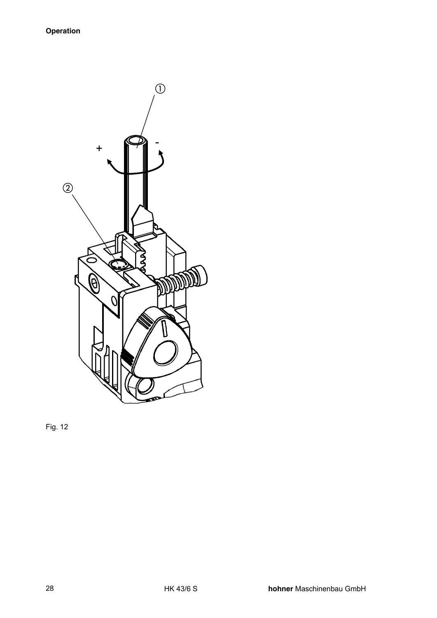

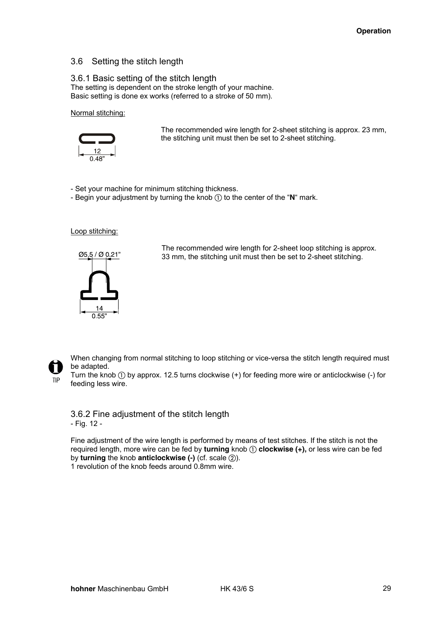#### 3.6 Setting the stitch length

#### 3.6.1 Basic setting of the stitch length

The setting is dependent on the stroke length of your machine. Basic setting is done ex works (referred to a stroke of 50 mm).

Normal stitching:



The recommended wire length for 2-sheet stitching is approx. 23 mm, the stitching unit must then be set to 2-sheet stitching.

- Set your machine for minimum stitching thickness.

- Begin your adjustment by turning the knob  $\textcircled{1}$  to the center of the "**N**" mark.

Loop stitching:



The recommended wire length for 2-sheet loop stitching is approx. 33 mm, the stitching unit must then be set to 2-sheet stitching.



When changing from normal stitching to loop stitching or vice-versa the stitch length required must be adapted.

Turn the knob  $\textcircled{\tiny{1}}$  by approx. 12.5 turns clockwise (+) for feeding more wire or anticlockwise (-) for feeding less wire.

3.6.2 Fine adjustment of the stitch length - Fig. 12 -

Fine adjustment of the wire length is performed by means of test stitches. If the stitch is not the required length, more wire can be fed by **turning** knob ① clockwise (+), or less wire can be fed by **turning** the knob **anticlockwise** (-) (cf. scale 2).

1 revolution of the knob feeds around 0.8mm wire.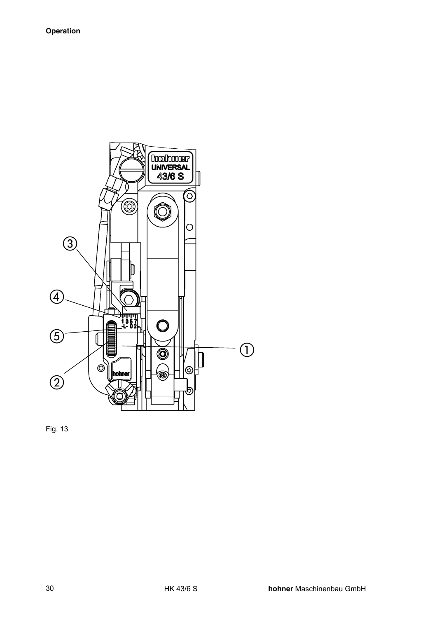

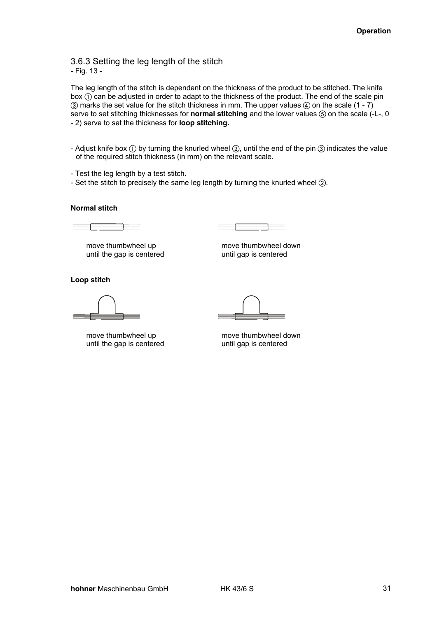3.6.3 Setting the leg length of the stitch - Fig. 13 -

The leg length of the stitch is dependent on the thickness of the product to be stitched. The knife box  $\odot$  can be adjusted in order to adapt to the thickness of the product. The end of the scale pin  $(3)$  marks the set value for the stitch thickness in mm. The upper values  $(4)$  on the scale  $(1 - 7)$ serve to set stitching thicknesses for **normal stitching** and the lower values  $\circledS$  on the scale (-L-, 0 - 2) serve to set the thickness for **loop stitching.**

- Adjust knife box  $\textcircled{\tiny{1}}$  by turning the knurled wheel  $\textcircled{\tiny{2}}$ , until the end of the pin  $\textcircled{\tiny{3}}$  indicates the value of the required stitch thickness (in mm) on the relevant scale.
- Test the leg length by a test stitch.
- Set the stitch to precisely the same leg length by turning the knurled wheel  $(2)$ .

#### **Normal stitch**

EN ENTERTA EL ENTRETA EL ENTRETA EL ENTRETA EL ENTRETA EL ENTRETA EL ENTRETA EL ENTRETA EL ENTRETA EL ENTRETA

move thumbwheel up move thumbwheel down until the gap is centered until gap is centered

**Loop stitch** 

until the gap is centered until gap is centered

move thumbwheel up move thumbwheel down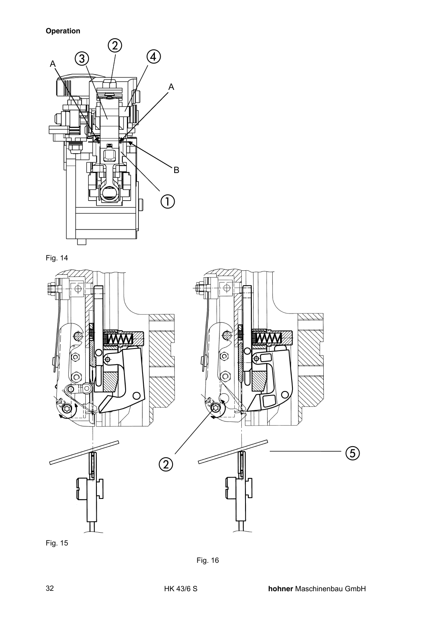**Operation** 







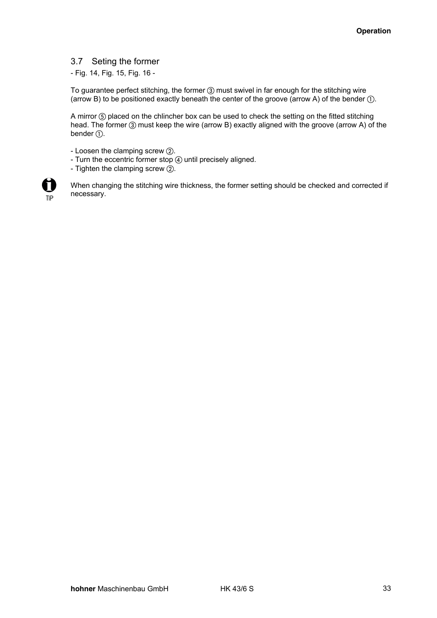#### 3.7 Seting the former

- Fig. 14, Fig. 15, Fig. 16 -

To guarantee perfect stitching, the former 3 must swivel in far enough for the stitching wire (arrow B) to be positioned exactly beneath the center of the groove (arrow A) of the bender  $\mathbb{O}$ .

A mirror (5) placed on the chlincher box can be used to check the setting on the fitted stitching head. The former  $\circled{3}$  must keep the wire (arrow B) exactly aligned with the groove (arrow A) of the bender  $\circled$ .

- Loosen the clamping screw  $(2)$ .
- Turn the eccentric former stop  $@$  until precisely aligned.
- Tighten the clamping screw  $(2)$ .



When changing the stitching wire thickness, the former setting should be checked and corrected if necessary.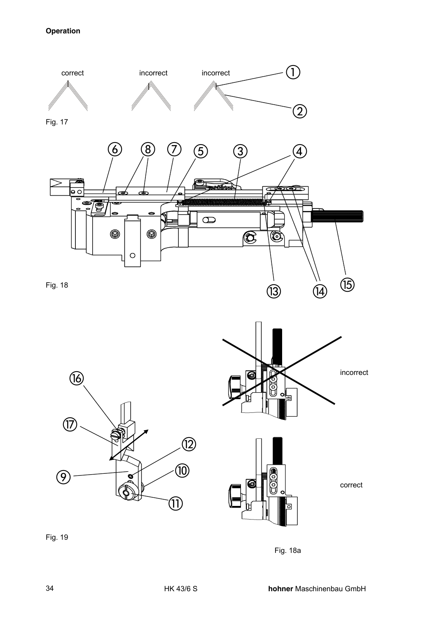# **Operation**







Fig. 19

Fig. 18a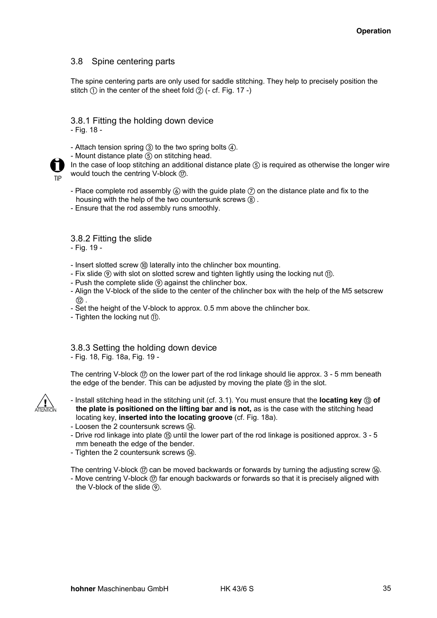#### 3.8 Spine centering parts

The spine centering parts are only used for saddle stitching. They help to precisely position the stitch  $\circled{1}$  in the center of the sheet fold  $\circled{2}$  (- cf. Fig. 17 -)

#### 3.8.1 Fitting the holding down device - Fig. 18 -

- Attach tension spring  $(3)$  to the two spring bolts  $(4)$ .

- Mount distance plate (5) on stitching head.

**TIP** 

In the case of loop stitching an additional distance plate  $(5)$  is required as otherwise the longer wire would touch the centring V-block  $(7)$ .

- Place complete rod assembly  $\omega$  with the guide plate  $\omega$  on the distance plate and fix to the housing with the help of the two countersunk screws  $(8)$ .
- Ensure that the rod assembly runs smoothly.

3.8.2 Fitting the slide

- Fig. 19 -

- Insert slotted screw  $\textcircled{\tiny 0}$  laterally into the chlincher box mounting.
- Fix slide  $\circled{9}$  with slot on slotted screw and tighten lightly using the locking nut  $\circled{1}$ .
- Push the complete slide  $\circledcirc$  against the chlincher box.
- Align the V-block of the slide to the center of the chlincher box with the help of the M5 setscrew  $(12)$ .
- Set the height of the V-block to approx. 0.5 mm above the chlincher box.
- Tighten the locking nut  $(n)$ .

# 3.8.3 Setting the holding down device

- Fig. 18, Fig. 18a, Fig. 19 -

The centring V-block  $(\bar{r})$  on the lower part of the rod linkage should lie approx. 3 - 5 mm beneath the edge of the bender. This can be adjusted by moving the plate (i) in the slot.



- Install stitching head in the stitching unit (cf. 3.1). You must ensure that the **locating key** 3 of **the plate is positioned on the lifting bar and is not,** as is the case with the stitching head locating key, **inserted into the locating groove** (cf. Fig. 18a).
- Loosen the 2 countersunk screws (4).
- Drive rod linkage into plate (6) until the lower part of the rod linkage is positioned approx. 3 5 mm beneath the edge of the bender.
- Tighten the 2 countersunk screws (4).

The centring V-block  $(\overline{n})$  can be moved backwards or forwards by turning the adjusting screw  $(\overline{n})$ .

- Move centring V-block  $\textcircled{r}$  far enough backwards or forwards so that it is precisely aligned with the V-block of the slide  $(9)$ .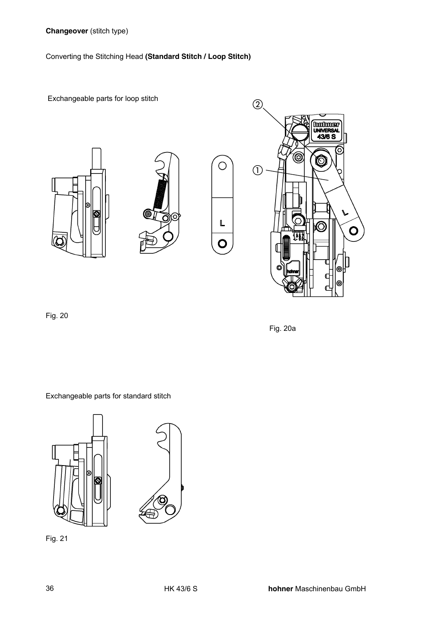Converting the Stitching Head **(Standard Stitch / Loop Stitch)**

Exchangeable parts for loop stitch





O

L

O



Fig. 20

Fig. 20a

Exchangeable parts for standard stitch





Fig. 21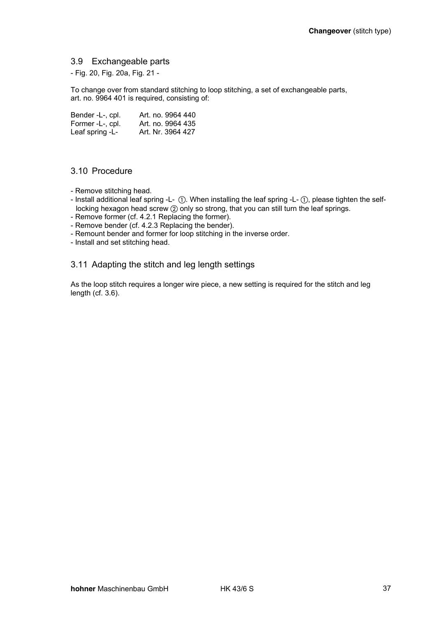#### 3.9 Exchangeable parts

- Fig. 20, Fig. 20a, Fig. 21 -

To change over from standard stitching to loop stitching, a set of exchangeable parts, art. no. 9964 401 is required, consisting of:

| Bender -L-, cpl. | Art. no. 9964 440 |
|------------------|-------------------|
| Former -L-, cpl. | Art. no. 9964 435 |
| Leaf spring -L-  | Art. Nr. 3964 427 |

#### 3.10 Procedure

- Remove stitching head.
- Install additional leaf spring -L- ①. When installing the leaf spring -L- ①, please tighten the selflocking hexagon head screw  $\oslash$  only so strong, that you can still turn the leaf springs.
- Remove former (cf. 4.2.1 Replacing the former).
- Remove bender (cf. 4.2.3 Replacing the bender).
- Remount bender and former for loop stitching in the inverse order.
- Install and set stitching head.

#### 3.11 Adapting the stitch and leg length settings

As the loop stitch requires a longer wire piece, a new setting is required for the stitch and leg length (cf. 3.6).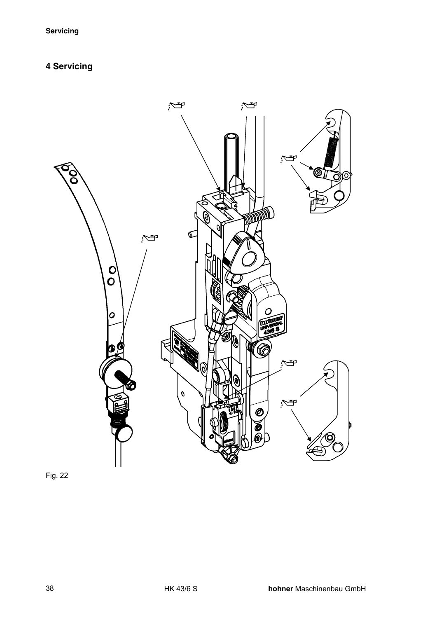# **4 Servicing**



Fig. 22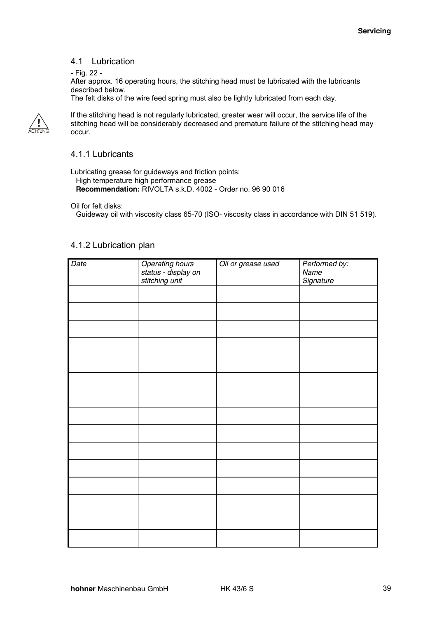#### 4.1 Lubrication

#### - Fig. 22 -

After approx. 16 operating hours, the stitching head must be lubricated with the lubricants described below.

The felt disks of the wire feed spring must also be lightly lubricated from each day.



If the stitching head is not regularly lubricated, greater wear will occur, the service life of the stitching head will be considerably decreased and premature failure of the stitching head may occur.

#### 4.1.1 Lubricants

Lubricating grease for guideways and friction points: High temperature high performance grease **Recommendation:** RIVOLTA s.k.D. 4002 - Order no. 96 90 016

Oil for felt disks:

Guideway oil with viscosity class 65-70 (ISO- viscosity class in accordance with DIN 51 519).

#### 4.1.2 Lubrication plan

| Date | <b>Operating hours</b>                | Oil or grease used | Performed by:     |
|------|---------------------------------------|--------------------|-------------------|
|      | status - display on<br>stitching unit |                    | Name<br>Signature |
|      |                                       |                    |                   |
|      |                                       |                    |                   |
|      |                                       |                    |                   |
|      |                                       |                    |                   |
|      |                                       |                    |                   |
|      |                                       |                    |                   |
|      |                                       |                    |                   |
|      |                                       |                    |                   |
|      |                                       |                    |                   |
|      |                                       |                    |                   |
|      |                                       |                    |                   |
|      |                                       |                    |                   |
|      |                                       |                    |                   |
|      |                                       |                    |                   |
|      |                                       |                    |                   |
|      |                                       |                    |                   |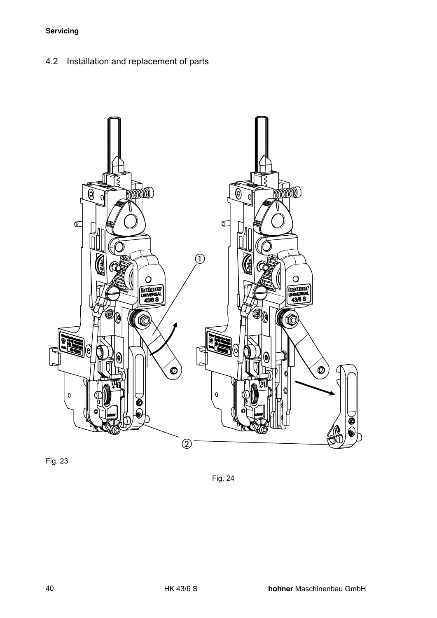4.2 Installation and replacement of parts



Fig. 23

Fig. 24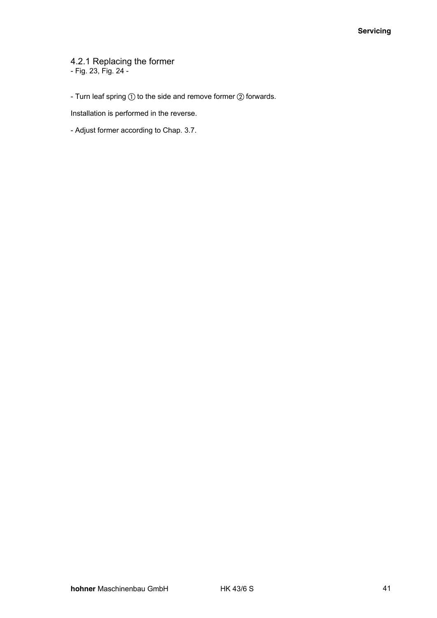4.2.1 Replacing the former - Fig. 23, Fig. 24 -

- Turn leaf spring  $\textcircled{\scriptsize{1}}$  to the side and remove former  $\textcircled{\scriptsize{2}}$  forwards.

Installation is performed in the reverse.

- Adjust former according to Chap. 3.7.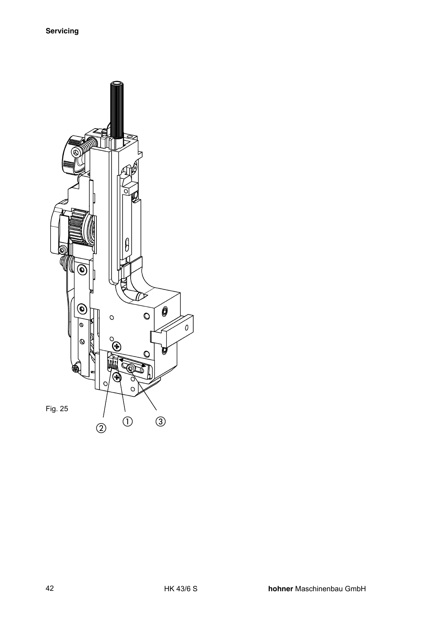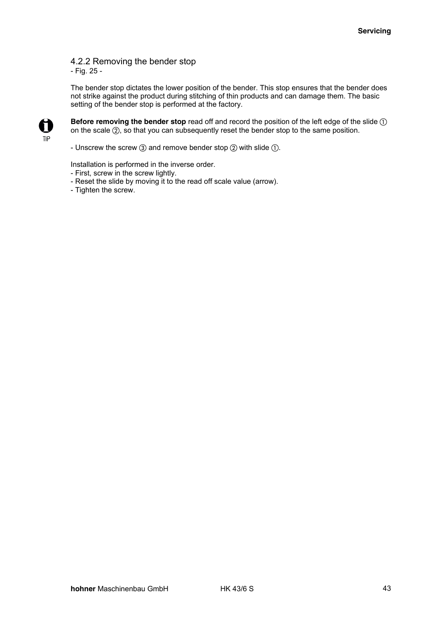## 4.2.2 Removing the bender stop

- Fig. 25 -

The bender stop dictates the lower position of the bender. This stop ensures that the bender does not strike against the product during stitching of thin products and can damage them. The basic setting of the bender stop is performed at the factory.



**Before removing the bender stop** read off and record the position of the left edge of the slide  $\circled$ on the scale  $(2)$ , so that you can subsequently reset the bender stop to the same position.

- Unscrew the screw  $\circled{3}$  and remove bender stop  $\circled{2}$  with slide  $\circled{1}$ .

Installation is performed in the inverse order.

- First, screw in the screw lightly.
- Reset the slide by moving it to the read off scale value (arrow).
- Tighten the screw.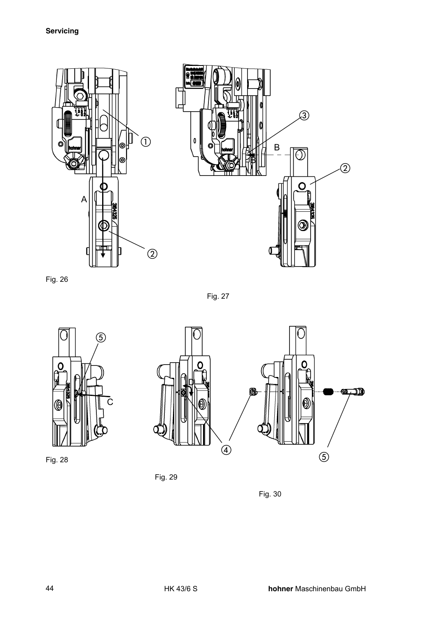

Fig. 26

Fig. 27



Fig. 28



Fig. 29

Fig. 30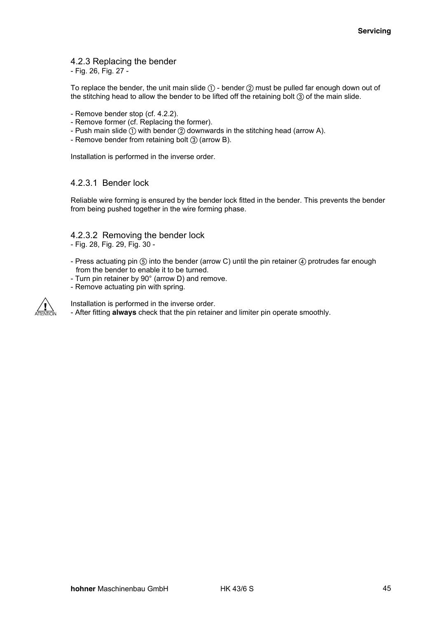#### 4.2.3 Replacing the bender

- Fig. 26, Fig. 27 -

To replace the bender, the unit main slide  $\mathbb{O}$  - bender  $\mathbb{Q}$  must be pulled far enough down out of the stitching head to allow the bender to be lifted off the retaining bolt  $\Omega$  of the main slide.

- Remove bender stop (cf. 4.2.2).
- Remove former (cf. Replacing the former).
- Push main slide  $\textcircled{\scriptsize{1}}$  with bender  $\textcircled{\scriptsize{2}}$  downwards in the stitching head (arrow A).
- Remove bender from retaining bolt (3) (arrow B).

Installation is performed in the inverse order.

#### 4.2.3.1 Bender lock

Reliable wire forming is ensured by the bender lock fitted in the bender. This prevents the bender from being pushed together in the wire forming phase.

#### 4.2.3.2 Removing the bender lock

- Fig. 28, Fig. 29, Fig. 30 -
- Press actuating pin  $(5)$  into the bender (arrow C) until the pin retainer  $(4)$  protrudes far enough from the bender to enable it to be turned.
- Turn pin retainer by 90° (arrow D) and remove.
- Remove actuating pin with spring.



Installation is performed in the inverse order. - After fitting **always** check that the pin retainer and limiter pin operate smoothly.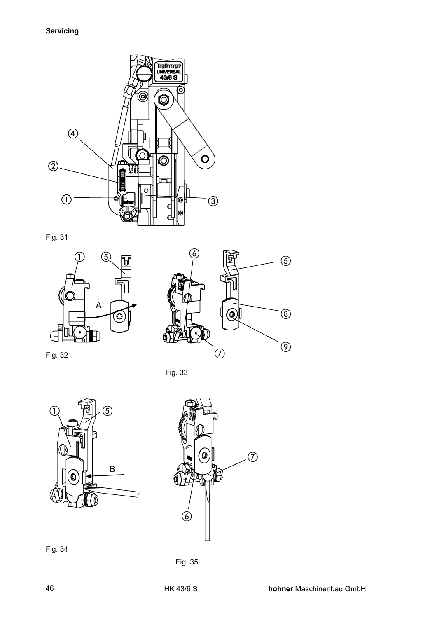

Fig. 31





Fig. 32

Fig. 33



Fig. 34

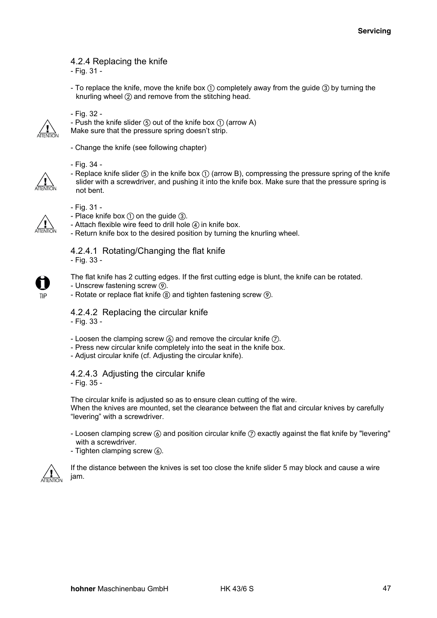4.2.4 Replacing the knife

- Fig. 31 -

- To replace the knife, move the knife box  $\textcircled{\tiny{1}}$  completely away from the guide  $\textcircled{\tiny{3}}$  by turning the knurling wheel  $(2)$  and remove from the stitching head.



- Fig. 32 -
- Push the knife slider  $\circledS$  out of the knife box  $\circledD$  (arrow A)

Make sure that the pressure spring doesn't strip.

- Change the knife (see following chapter)

- Fig. 34 -

- Replace knife slider  $\circledS$  in the knife box  $\circlearrowleft$  (arrow B), compressing the pressure spring of the knife slider with a screwdriver, and pushing it into the knife box. Make sure that the pressure spring is not bent.



- Fig. 31 -

- Place knife box  $\textcircled{\scriptsize{1}}$  on the guide  $\textcircled{\scriptsize{3}}$ .
- Attach flexible wire feed to drill hole  $\overline{a}$  in knife box.
- Return knife box to the desired position by turning the knurling wheel.

# 4.2.4.1 Rotating/Changing the flat knife

- Fig. 33 -



The flat knife has 2 cutting edges. If the first cutting edge is blunt, the knife can be rotated.

- Unscrew fastening screw  $\circledR$ .
- Rotate or replace flat knife  $\circledR$  and tighten fastening screw  $\circledR$ .

4.2.4.2 Replacing the circular knife

- Fig. 33 -

- Loosen the clamping screw  $\mathcal{C}$  and remove the circular knife  $\mathcal{D}$ .
- Press new circular knife completely into the seat in the knife box.
- Adjust circular knife (cf. Adjusting the circular knife).

4.2.4.3 Adjusting the circular knife - Fig. 35 -

The circular knife is adjusted so as to ensure clean cutting of the wire. When the knives are mounted, set the clearance between the flat and circular knives by carefully "levering" with a screwdriver.

- Loosen clamping screw  $\circled{a}$  and position circular knife  $\circled{c}$  exactly against the flat knife by "levering" with a screwdriver.
- Tighten clamping screw  $\omega$ .



If the distance between the knives is set too close the knife slider 5 may block and cause a wire jam.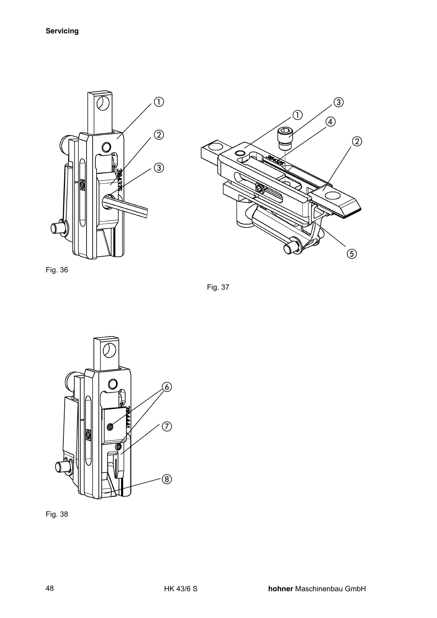



Fig. 36

Fig. 37



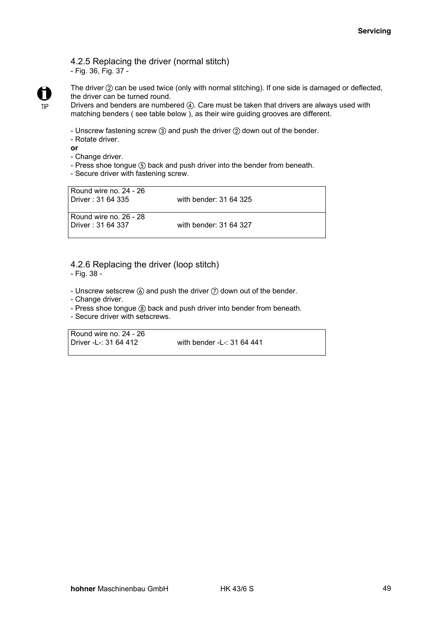#### 4.2.5 Replacing the driver (normal stitch) - Fig. 36, Fig. 37 -



The driver  $(2)$  can be used twice (only with normal stitching). If one side is damaged or deflected, the driver can be turned round.

Drivers and benders are numbered  $(4)$ . Care must be taken that drivers are always used with matching benders ( see table below ), as their wire guiding grooves are different.

- Unscrew fastening screw  $(3)$  and push the driver  $(2)$  down out of the bender.
- Rotate driver.

**or** 

- Change driver.
- Press shoe tongue (5) back and push driver into the bender from beneath.
- Secure driver with fastening screw.

| Round wire no. 24 - 26<br>Driver: 31 64 335 | with bender: 31 64 325 |
|---------------------------------------------|------------------------|
| Round wire no. 26 - 28<br>Driver: 31 64 337 | with bender: 31 64 327 |

#### 4.2.6 Replacing the driver (loop stitch)

- Fig. 38 -

- Unscrew setscrew  $\omega$  and push the driver  $\omega$  down out of the bender.

- Change driver.
- Press shoe tongue  $\circledast$  back and push driver into bender from beneath.
- Secure driver with setscrews.

Round wire no. 24 - 26

Driver -L-: 31 64 412 with bender -L-: 31 64 441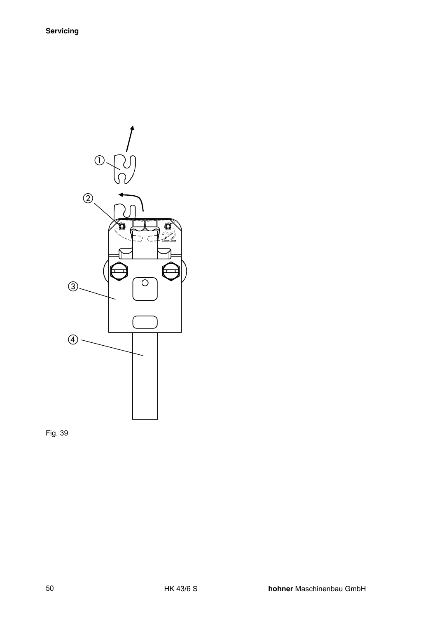

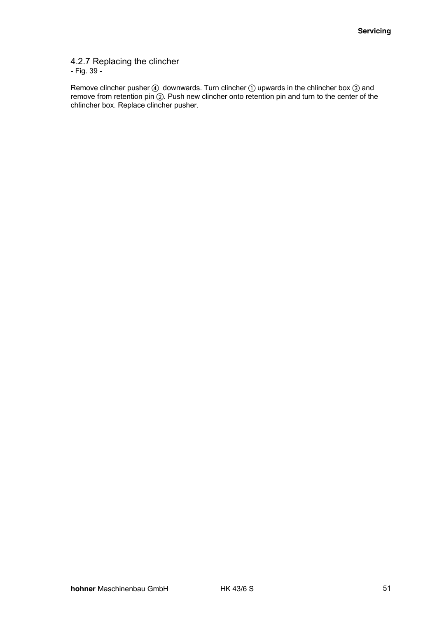#### 4.2.7 Replacing the clincher - Fig. 39 -

Remove clincher pusher  $\omega$  downwards. Turn clincher  $\omega$  upwards in the chlincher box  $\omega$  and remove from retention pin  $\overline{Q}$ . Push new clincher onto retention pin and turn to the center of the chlincher box. Replace clincher pusher.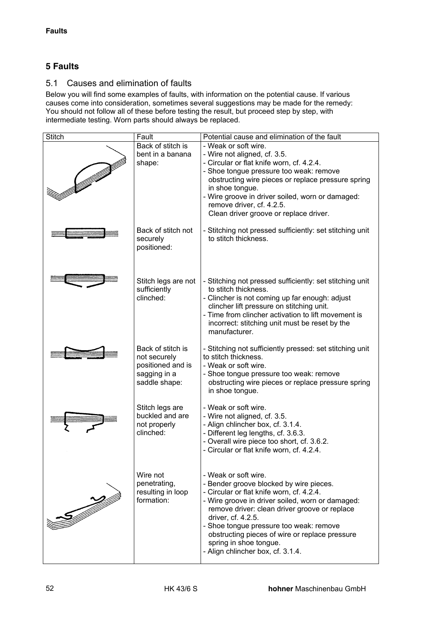# **5 Faults**

# 5.1 Causes and elimination of faults

Below you will find some examples of faults, with information on the potential cause. If various causes come into consideration, sometimes several suggestions may be made for the remedy: You should not follow all of these before testing the result, but proceed step by step, with intermediate testing. Worn parts should always be replaced.

| <b>Stitch</b> | Fault                             | Potential cause and elimination of the fault                                                |
|---------------|-----------------------------------|---------------------------------------------------------------------------------------------|
|               | Back of stitch is                 | - Weak or soft wire.                                                                        |
|               | bent in a banana                  | - Wire not aligned, cf. 3.5.                                                                |
|               | shape:                            | - Circular or flat knife worn, cf. 4.2.4.<br>- Shoe tongue pressure too weak: remove        |
|               |                                   | obstructing wire pieces or replace pressure spring                                          |
|               |                                   | in shoe tongue.                                                                             |
|               |                                   | - Wire groove in driver soiled, worn or damaged:                                            |
|               |                                   | remove driver, cf. 4.2.5.                                                                   |
|               |                                   | Clean driver groove or replace driver.                                                      |
|               | Back of stitch not<br>securely    | - Stitching not pressed sufficiently: set stitching unit<br>to stitch thickness.            |
|               | positioned:                       |                                                                                             |
|               |                                   |                                                                                             |
|               |                                   |                                                                                             |
|               | Stitch legs are not               | - Stitching not pressed sufficiently: set stitching unit                                    |
|               | sufficiently<br>clinched:         | to stitch thickness.                                                                        |
|               |                                   | - Clincher is not coming up far enough: adjust<br>clincher lift pressure on stitching unit. |
|               |                                   | - Time from clincher activation to lift movement is                                         |
|               |                                   | incorrect: stitching unit must be reset by the                                              |
|               |                                   | manufacturer.                                                                               |
|               | Back of stitch is                 | - Stitching not sufficiently pressed: set stitching unit                                    |
|               | not securely                      | to stitch thickness.                                                                        |
|               | positioned and is<br>sagging in a | - Weak or soft wire.<br>- Shoe tongue pressure too weak: remove                             |
|               | saddle shape:                     | obstructing wire pieces or replace pressure spring                                          |
|               |                                   | in shoe tongue.                                                                             |
|               | Stitch legs are                   | - Weak or soft wire.                                                                        |
|               | buckled and are                   | - Wire not aligned, cf. 3.5.                                                                |
|               | not properly                      | - Align chlincher box, cf. 3.1.4.                                                           |
|               | clinched:                         | - Different leg lengths, cf. 3.6.3.                                                         |
|               |                                   | - Overall wire piece too short, cf. 3.6.2.<br>- Circular or flat knife worn, cf. 4.2.4.     |
|               |                                   |                                                                                             |
|               | Wire not                          | - Weak or soft wire.                                                                        |
|               | penetrating,                      | - Bender groove blocked by wire pieces.                                                     |
|               | resulting in loop                 | - Circular or flat knife worn, cf. 4.2.4.                                                   |
|               | formation:                        | - Wire groove in driver soiled, worn or damaged:                                            |
|               |                                   | remove driver: clean driver groove or replace<br>driver, cf. 4.2.5.                         |
|               |                                   | - Shoe tongue pressure too weak: remove                                                     |
|               |                                   | obstructing pieces of wire or replace pressure                                              |
|               |                                   | spring in shoe tongue.                                                                      |
|               |                                   | - Align chlincher box, cf. 3.1.4.                                                           |